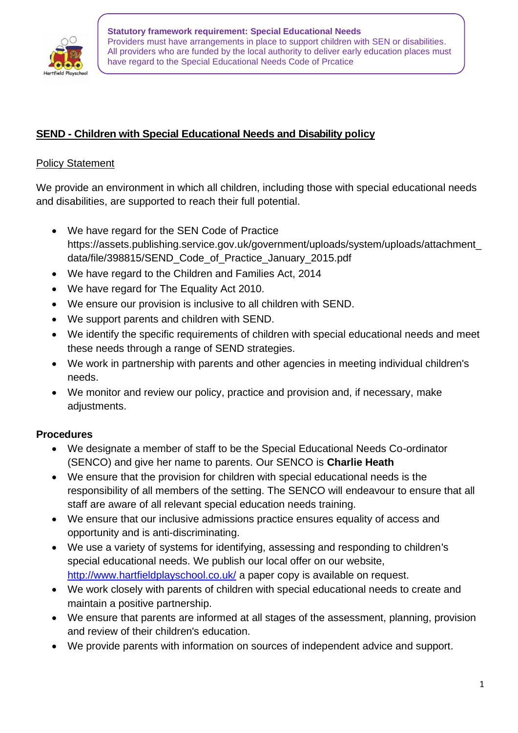

**Statutory framework requirement: Special Educational Needs** Providers must have arrangements in place to support children with SEN or disabilities. All providers who are funded by the local authority to deliver early education places must have regard to the Special Educational Needs Code of Prcatice

## **SEND - Children with Special Educational Needs and Disability policy**

#### **Policy Statement**

We provide an environment in which all children, including those with special educational needs and disabilities, are supported to reach their full potential.

- We have regard for the SEN Code of Practice https://assets.publishing.service.gov.uk/government/uploads/system/uploads/attachment\_ data/file/398815/SEND\_Code\_of\_Practice\_January\_2015.pdf
- We have regard to the Children and Families Act, 2014
- We have regard for The Equality Act 2010.
- We ensure our provision is inclusive to all children with SEND.
- We support parents and children with SEND.
- We identify the specific requirements of children with special educational needs and meet these needs through a range of SEND strategies.
- We work in partnership with parents and other agencies in meeting individual children's needs.
- We monitor and review our policy, practice and provision and, if necessary, make adjustments.

### **Procedures**

- We designate a member of staff to be the Special Educational Needs Co-ordinator (SENCO) and give her name to parents. Our SENCO is **Charlie Heath**
- We ensure that the provision for children with special educational needs is the responsibility of all members of the setting. The SENCO will endeavour to ensure that all staff are aware of all relevant special education needs training.
- We ensure that our inclusive admissions practice ensures equality of access and opportunity and is anti-discriminating.
- We use a variety of systems for identifying, assessing and responding to children's special educational needs. We publish our local offer on our website, http://www.hartfieldplayschool.co.uk/ a paper copy is available on request.
- We work closely with parents of children with special educational needs to create and maintain a positive partnership.
- We ensure that parents are informed at all stages of the assessment, planning, provision and review of their children's education.
- We provide parents with information on sources of independent advice and support.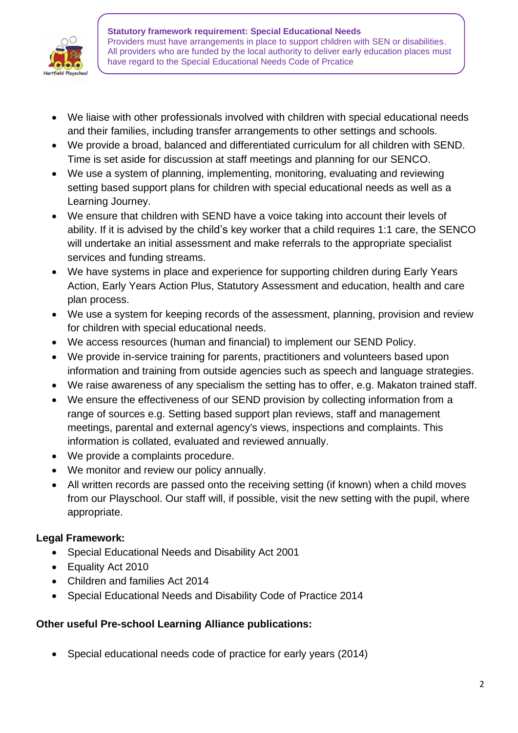

**Statutory framework requirement: Special Educational Needs** Providers must have arrangements in place to support children with SEN or disabilities. All providers who are funded by the local authority to deliver early education places must have regard to the Special Educational Needs Code of Prcatice

- We liaise with other professionals involved with children with special educational needs and their families, including transfer arrangements to other settings and schools.
- We provide a broad, balanced and differentiated curriculum for all children with SEND. Time is set aside for discussion at staff meetings and planning for our SENCO.
- We use a system of planning, implementing, monitoring, evaluating and reviewing setting based support plans for children with special educational needs as well as a Learning Journey.
- We ensure that children with SEND have a voice taking into account their levels of ability. If it is advised by the child's key worker that a child requires 1:1 care, the SENCO will undertake an initial assessment and make referrals to the appropriate specialist services and funding streams.
- We have systems in place and experience for supporting children during Early Years Action, Early Years Action Plus, Statutory Assessment and education, health and care plan process.
- We use a system for keeping records of the assessment, planning, provision and review for children with special educational needs.
- We access resources (human and financial) to implement our SEND Policy.
- We provide in-service training for parents, practitioners and volunteers based upon information and training from outside agencies such as speech and language strategies.
- We raise awareness of any specialism the setting has to offer, e.g. Makaton trained staff.
- We ensure the effectiveness of our SEND provision by collecting information from a range of sources e.g. Setting based support plan reviews, staff and management meetings, parental and external agency's views, inspections and complaints. This information is collated, evaluated and reviewed annually.
- We provide a complaints procedure.
- We monitor and review our policy annually.
- All written records are passed onto the receiving setting (if known) when a child moves from our Playschool. Our staff will, if possible, visit the new setting with the pupil, where appropriate.

# **Legal Framework:**

- Special Educational Needs and Disability Act 2001
- Equality Act 2010
- Children and families Act 2014
- Special Educational Needs and Disability Code of Practice 2014

### **Other useful Pre-school Learning Alliance publications:**

• Special educational needs code of practice for early years (2014)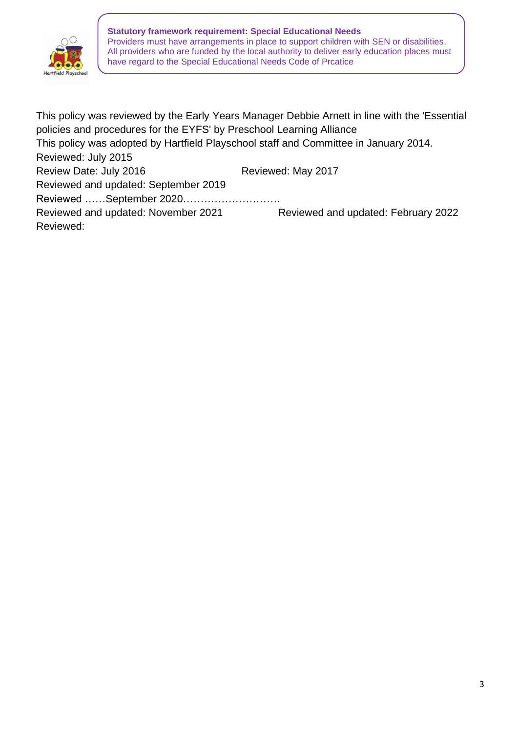

**Statutory framework requirement: Special Educational Needs** Providers must have arrangements in place to support children with SEN or disabilities. All providers who are funded by the local authority to deliver early education places must have regard to the Special Educational Needs Code of Prcatice

This policy was reviewed by the Early Years Manager Debbie Arnett in line with the 'Essential policies and procedures for the EYFS' by Preschool Learning Alliance This policy was adopted by Hartfield Playschool staff and Committee in January 2014. Reviewed: July 2015 Review Date: July 2016 Reviewed: May 2017 Reviewed and updated: September 2019 Reviewed ……September 2020………………………. Reviewed and updated: November 2021 Reviewed and updated: February 2022 Reviewed: